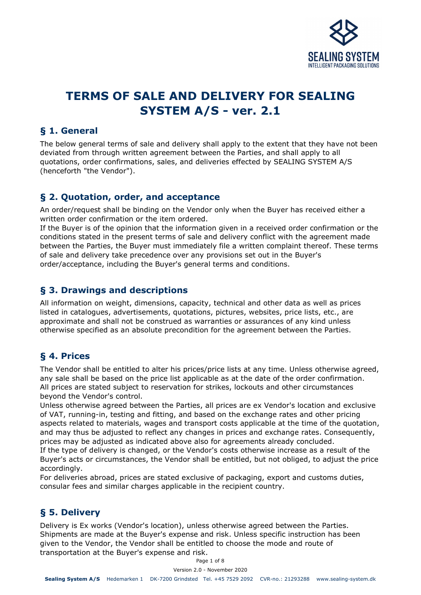

# **TERMS OF SALE AND DELIVERY FOR SEALING SYSTEM A/S - ver. 2.1**

#### **§ 1. General**

The below general terms of sale and delivery shall apply to the extent that they have not been deviated from through written agreement between the Parties, and shall apply to all quotations, order confirmations, sales, and deliveries effected by SEALING SYSTEM A/S (henceforth "the Vendor").

### **§ 2. Quotation, order, and acceptance**

An order/request shall be binding on the Vendor only when the Buyer has received either a written order confirmation or the item ordered.

If the Buyer is of the opinion that the information given in a received order confirmation or the conditions stated in the present terms of sale and delivery conflict with the agreement made between the Parties, the Buyer must immediately file a written complaint thereof. These terms of sale and delivery take precedence over any provisions set out in the Buyer's order/acceptance, including the Buyer's general terms and conditions.

### **§ 3. Drawings and descriptions**

All information on weight, dimensions, capacity, technical and other data as well as prices listed in catalogues, advertisements, quotations, pictures, websites, price lists, etc., are approximate and shall not be construed as warranties or assurances of any kind unless otherwise specified as an absolute precondition for the agreement between the Parties.

# **§ 4. Prices**

The Vendor shall be entitled to alter his prices/price lists at any time. Unless otherwise agreed, any sale shall be based on the price list applicable as at the date of the order confirmation. All prices are stated subject to reservation for strikes, lockouts and other circumstances beyond the Vendor's control.

Unless otherwise agreed between the Parties, all prices are ex Vendor's location and exclusive of VAT, running-in, testing and fitting, and based on the exchange rates and other pricing aspects related to materials, wages and transport costs applicable at the time of the quotation, and may thus be adjusted to reflect any changes in prices and exchange rates. Consequently, prices may be adjusted as indicated above also for agreements already concluded.

If the type of delivery is changed, or the Vendor's costs otherwise increase as a result of the Buyer's acts or circumstances, the Vendor shall be entitled, but not obliged, to adjust the price accordingly.

For deliveries abroad, prices are stated exclusive of packaging, export and customs duties, consular fees and similar charges applicable in the recipient country.

# **§ 5. Delivery**

Delivery is Ex works (Vendor's location), unless otherwise agreed between the Parties. Shipments are made at the Buyer's expense and risk. Unless specific instruction has been given to the Vendor, the Vendor shall be entitled to choose the mode and route of transportation at the Buyer's expense and risk.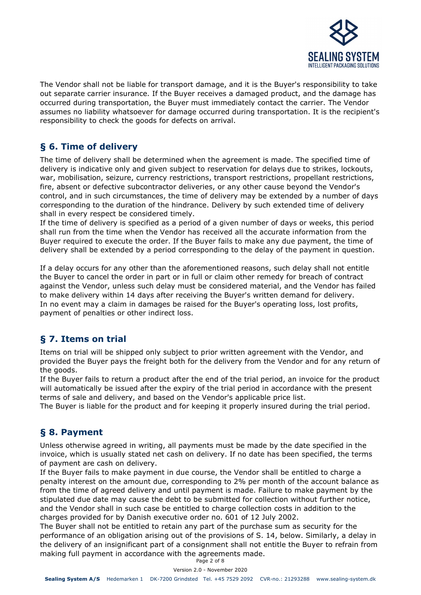

The Vendor shall not be liable for transport damage, and it is the Buyer's responsibility to take out separate carrier insurance. If the Buyer receives a damaged product, and the damage has occurred during transportation, the Buyer must immediately contact the carrier. The Vendor assumes no liability whatsoever for damage occurred during transportation. It is the recipient's responsibility to check the goods for defects on arrival.

# **§ 6. Time of delivery**

The time of delivery shall be determined when the agreement is made. The specified time of delivery is indicative only and given subject to reservation for delays due to strikes, lockouts, war, mobilisation, seizure, currency restrictions, transport restrictions, propellant restrictions, fire, absent or defective subcontractor deliveries, or any other cause beyond the Vendor's control, and in such circumstances, the time of delivery may be extended by a number of days corresponding to the duration of the hindrance. Delivery by such extended time of delivery shall in every respect be considered timely.

If the time of delivery is specified as a period of a given number of days or weeks, this period shall run from the time when the Vendor has received all the accurate information from the Buyer required to execute the order. If the Buyer fails to make any due payment, the time of delivery shall be extended by a period corresponding to the delay of the payment in question.

If a delay occurs for any other than the aforementioned reasons, such delay shall not entitle the Buyer to cancel the order in part or in full or claim other remedy for breach of contract against the Vendor, unless such delay must be considered material, and the Vendor has failed to make delivery within 14 days after receiving the Buyer's written demand for delivery. In no event may a claim in damages be raised for the Buyer's operating loss, lost profits, payment of penalties or other indirect loss.

# **§ 7. Items on trial**

Items on trial will be shipped only subject to prior written agreement with the Vendor, and provided the Buyer pays the freight both for the delivery from the Vendor and for any return of the goods.

If the Buyer fails to return a product after the end of the trial period, an invoice for the product will automatically be issued after the expiry of the trial period in accordance with the present terms of sale and delivery, and based on the Vendor's applicable price list.

The Buyer is liable for the product and for keeping it properly insured during the trial period.

# **§ 8. Payment**

Unless otherwise agreed in writing, all payments must be made by the date specified in the invoice, which is usually stated net cash on delivery. If no date has been specified, the terms of payment are cash on delivery.

If the Buyer fails to make payment in due course, the Vendor shall be entitled to charge a penalty interest on the amount due, corresponding to 2% per month of the account balance as from the time of agreed delivery and until payment is made. Failure to make payment by the stipulated due date may cause the debt to be submitted for collection without further notice, and the Vendor shall in such case be entitled to charge collection costs in addition to the charges provided for by Danish executive order no. 601 of 12 July 2002.

The Buyer shall not be entitled to retain any part of the purchase sum as security for the performance of an obligation arising out of the provisions of S. 14, below. Similarly, a delay in the delivery of an insignificant part of a consignment shall not entitle the Buyer to refrain from making full payment in accordance with the agreements made.

Page 2 of 8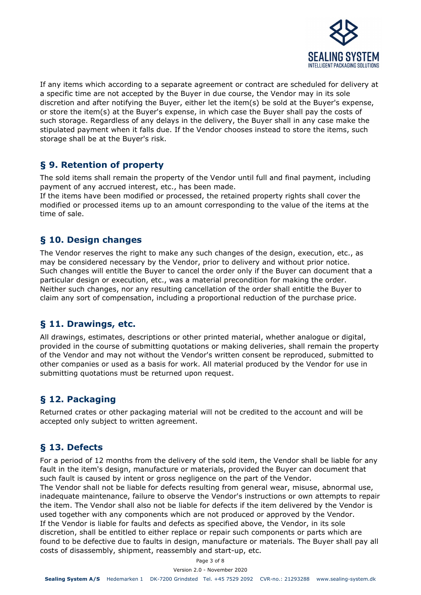

If any items which according to a separate agreement or contract are scheduled for delivery at a specific time are not accepted by the Buyer in due course, the Vendor may in its sole discretion and after notifying the Buyer, either let the item(s) be sold at the Buyer's expense, or store the item(s) at the Buyer's expense, in which case the Buyer shall pay the costs of such storage. Regardless of any delays in the delivery, the Buyer shall in any case make the stipulated payment when it falls due. If the Vendor chooses instead to store the items, such storage shall be at the Buyer's risk.

### **§ 9. Retention of property**

The sold items shall remain the property of the Vendor until full and final payment, including payment of any accrued interest, etc., has been made.

If the items have been modified or processed, the retained property rights shall cover the modified or processed items up to an amount corresponding to the value of the items at the time of sale.

### **§ 10. Design changes**

The Vendor reserves the right to make any such changes of the design, execution, etc., as may be considered necessary by the Vendor, prior to delivery and without prior notice. Such changes will entitle the Buyer to cancel the order only if the Buyer can document that a particular design or execution, etc., was a material precondition for making the order. Neither such changes, nor any resulting cancellation of the order shall entitle the Buyer to claim any sort of compensation, including a proportional reduction of the purchase price.

# **§ 11. Drawings, etc.**

All drawings, estimates, descriptions or other printed material, whether analogue or digital, provided in the course of submitting quotations or making deliveries, shall remain the property of the Vendor and may not without the Vendor's written consent be reproduced, submitted to other companies or used as a basis for work. All material produced by the Vendor for use in submitting quotations must be returned upon request.

# **§ 12. Packaging**

Returned crates or other packaging material will not be credited to the account and will be accepted only subject to written agreement.

# **§ 13. Defects**

For a period of 12 months from the delivery of the sold item, the Vendor shall be liable for any fault in the item's design, manufacture or materials, provided the Buyer can document that such fault is caused by intent or gross negligence on the part of the Vendor.

The Vendor shall not be liable for defects resulting from general wear, misuse, abnormal use, inadequate maintenance, failure to observe the Vendor's instructions or own attempts to repair the item. The Vendor shall also not be liable for defects if the item delivered by the Vendor is used together with any components which are not produced or approved by the Vendor. If the Vendor is liable for faults and defects as specified above, the Vendor, in its sole discretion, shall be entitled to either replace or repair such components or parts which are found to be defective due to faults in design, manufacture or materials. The Buyer shall pay all costs of disassembly, shipment, reassembly and start-up, etc.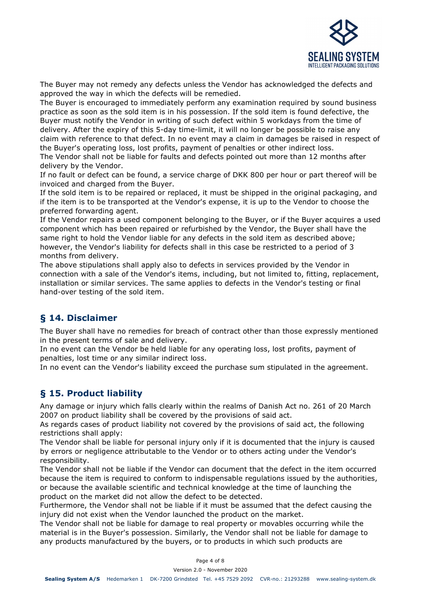

The Buyer may not remedy any defects unless the Vendor has acknowledged the defects and approved the way in which the defects will be remedied.

The Buyer is encouraged to immediately perform any examination required by sound business practice as soon as the sold item is in his possession. If the sold item is found defective, the Buyer must notify the Vendor in writing of such defect within 5 workdays from the time of delivery. After the expiry of this 5-day time-limit, it will no longer be possible to raise any claim with reference to that defect. In no event may a claim in damages be raised in respect of the Buyer's operating loss, lost profits, payment of penalties or other indirect loss.

The Vendor shall not be liable for faults and defects pointed out more than 12 months after delivery by the Vendor.

If no fault or defect can be found, a service charge of DKK 800 per hour or part thereof will be invoiced and charged from the Buyer.

If the sold item is to be repaired or replaced, it must be shipped in the original packaging, and if the item is to be transported at the Vendor's expense, it is up to the Vendor to choose the preferred forwarding agent.

If the Vendor repairs a used component belonging to the Buyer, or if the Buyer acquires a used component which has been repaired or refurbished by the Vendor, the Buyer shall have the same right to hold the Vendor liable for any defects in the sold item as described above; however, the Vendor's liability for defects shall in this case be restricted to a period of 3 months from delivery.

The above stipulations shall apply also to defects in services provided by the Vendor in connection with a sale of the Vendor's items, including, but not limited to, fitting, replacement, installation or similar services. The same applies to defects in the Vendor's testing or final hand-over testing of the sold item.

# **§ 14. Disclaimer**

The Buyer shall have no remedies for breach of contract other than those expressly mentioned in the present terms of sale and delivery.

In no event can the Vendor be held liable for any operating loss, lost profits, payment of penalties, lost time or any similar indirect loss.

In no event can the Vendor's liability exceed the purchase sum stipulated in the agreement.

# **§ 15. Product liability**

Any damage or injury which falls clearly within the realms of Danish Act no. 261 of 20 March 2007 on product liability shall be covered by the provisions of said act.

As regards cases of product liability not covered by the provisions of said act, the following restrictions shall apply:

The Vendor shall be liable for personal injury only if it is documented that the injury is caused by errors or negligence attributable to the Vendor or to others acting under the Vendor's responsibility.

The Vendor shall not be liable if the Vendor can document that the defect in the item occurred because the item is required to conform to indispensable regulations issued by the authorities, or because the available scientific and technical knowledge at the time of launching the product on the market did not allow the defect to be detected.

Furthermore, the Vendor shall not be liable if it must be assumed that the defect causing the injury did not exist when the Vendor launched the product on the market.

The Vendor shall not be liable for damage to real property or movables occurring while the material is in the Buyer's possession. Similarly, the Vendor shall not be liable for damage to any products manufactured by the buyers, or to products in which such products are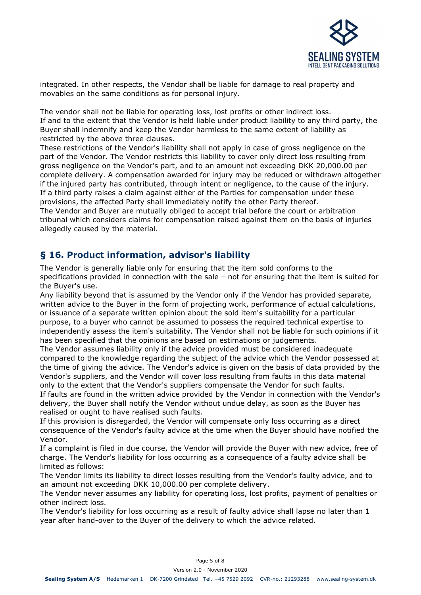

integrated. In other respects, the Vendor shall be liable for damage to real property and movables on the same conditions as for personal injury.

The vendor shall not be liable for operating loss, lost profits or other indirect loss. If and to the extent that the Vendor is held liable under product liability to any third party, the Buyer shall indemnify and keep the Vendor harmless to the same extent of liability as restricted by the above three clauses.

These restrictions of the Vendor's liability shall not apply in case of gross negligence on the part of the Vendor. The Vendor restricts this liability to cover only direct loss resulting from gross negligence on the Vendor's part, and to an amount not exceeding DKK 20,000.00 per complete delivery. A compensation awarded for injury may be reduced or withdrawn altogether if the injured party has contributed, through intent or negligence, to the cause of the injury. If a third party raises a claim against either of the Parties for compensation under these provisions, the affected Party shall immediately notify the other Party thereof.

The Vendor and Buyer are mutually obliged to accept trial before the court or arbitration tribunal which considers claims for compensation raised against them on the basis of injuries allegedly caused by the material.

### **§ 16. Product information, advisor's liability**

The Vendor is generally liable only for ensuring that the item sold conforms to the specifications provided in connection with the sale – not for ensuring that the item is suited for the Buyer's use.

Any liability beyond that is assumed by the Vendor only if the Vendor has provided separate, written advice to the Buyer in the form of projecting work, performance of actual calculations, or issuance of a separate written opinion about the sold item's suitability for a particular purpose, to a buyer who cannot be assumed to possess the required technical expertise to independently assess the item's suitability. The Vendor shall not be liable for such opinions if it has been specified that the opinions are based on estimations or judgements.

The Vendor assumes liability only if the advice provided must be considered inadequate compared to the knowledge regarding the subject of the advice which the Vendor possessed at the time of giving the advice. The Vendor's advice is given on the basis of data provided by the Vendor's suppliers, and the Vendor will cover loss resulting from faults in this data material only to the extent that the Vendor's suppliers compensate the Vendor for such faults.

If faults are found in the written advice provided by the Vendor in connection with the Vendor's delivery, the Buyer shall notify the Vendor without undue delay, as soon as the Buyer has realised or ought to have realised such faults.

If this provision is disregarded, the Vendor will compensate only loss occurring as a direct consequence of the Vendor's faulty advice at the time when the Buyer should have notified the Vendor.

If a complaint is filed in due course, the Vendor will provide the Buyer with new advice, free of charge. The Vendor's liability for loss occurring as a consequence of a faulty advice shall be limited as follows:

The Vendor limits its liability to direct losses resulting from the Vendor's faulty advice, and to an amount not exceeding DKK 10,000.00 per complete delivery.

The Vendor never assumes any liability for operating loss, lost profits, payment of penalties or other indirect loss.

The Vendor's liability for loss occurring as a result of faulty advice shall lapse no later than 1 year after hand-over to the Buyer of the delivery to which the advice related.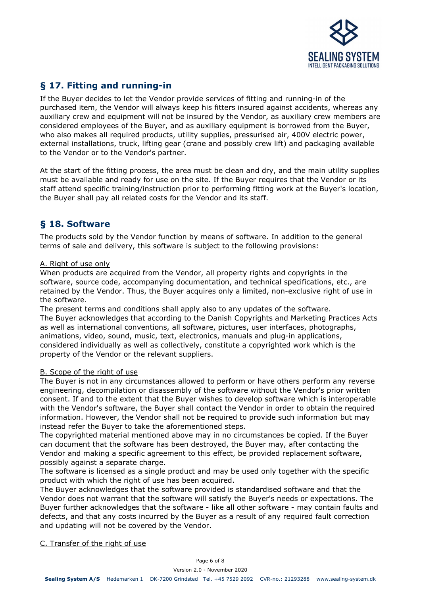

# **§ 17. Fitting and running-in**

If the Buyer decides to let the Vendor provide services of fitting and running-in of the purchased item, the Vendor will always keep his fitters insured against accidents, whereas any auxiliary crew and equipment will not be insured by the Vendor, as auxiliary crew members are considered employees of the Buyer, and as auxiliary equipment is borrowed from the Buyer, who also makes all required products, utility supplies, pressurised air, 400V electric power, external installations, truck, lifting gear (crane and possibly crew lift) and packaging available to the Vendor or to the Vendor's partner.

At the start of the fitting process, the area must be clean and dry, and the main utility supplies must be available and ready for use on the site. If the Buyer requires that the Vendor or its staff attend specific training/instruction prior to performing fitting work at the Buyer's location, the Buyer shall pay all related costs for the Vendor and its staff.

### **§ 18. Software**

The products sold by the Vendor function by means of software. In addition to the general terms of sale and delivery, this software is subject to the following provisions:

#### A. Right of use only

When products are acquired from the Vendor, all property rights and copyrights in the software, source code, accompanying documentation, and technical specifications, etc., are retained by the Vendor. Thus, the Buyer acquires only a limited, non-exclusive right of use in the software.

The present terms and conditions shall apply also to any updates of the software. The Buyer acknowledges that according to the Danish Copyrights and Marketing Practices Acts as well as international conventions, all software, pictures, user interfaces, photographs, animations, video, sound, music, text, electronics, manuals and plug-in applications, considered individually as well as collectively, constitute a copyrighted work which is the property of the Vendor or the relevant suppliers.

#### B. Scope of the right of use

The Buyer is not in any circumstances allowed to perform or have others perform any reverse engineering, decompilation or disassembly of the software without the Vendor's prior written consent. If and to the extent that the Buyer wishes to develop software which is interoperable with the Vendor's software, the Buyer shall contact the Vendor in order to obtain the required information. However, the Vendor shall not be required to provide such information but may instead refer the Buyer to take the aforementioned steps.

The copyrighted material mentioned above may in no circumstances be copied. If the Buyer can document that the software has been destroyed, the Buyer may, after contacting the Vendor and making a specific agreement to this effect, be provided replacement software, possibly against a separate charge.

The software is licensed as a single product and may be used only together with the specific product with which the right of use has been acquired.

The Buyer acknowledges that the software provided is standardised software and that the Vendor does not warrant that the software will satisfy the Buyer's needs or expectations. The Buyer further acknowledges that the software - like all other software - may contain faults and defects, and that any costs incurred by the Buyer as a result of any required fault correction and updating will not be covered by the Vendor.

#### C. Transfer of the right of use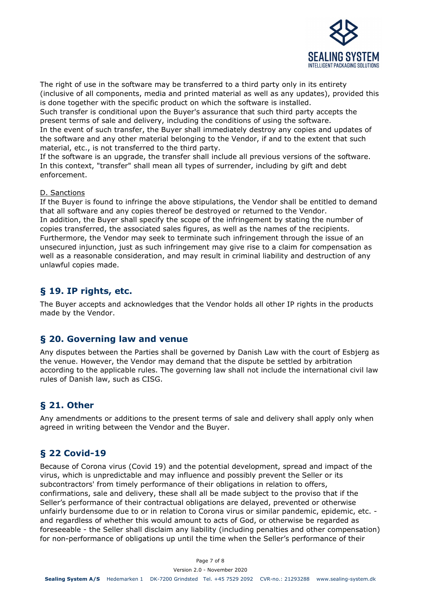

The right of use in the software may be transferred to a third party only in its entirety (inclusive of all components, media and printed material as well as any updates), provided this is done together with the specific product on which the software is installed.

Such transfer is conditional upon the Buyer's assurance that such third party accepts the present terms of sale and delivery, including the conditions of using the software.

In the event of such transfer, the Buyer shall immediately destroy any copies and updates of the software and any other material belonging to the Vendor, if and to the extent that such material, etc., is not transferred to the third party.

If the software is an upgrade, the transfer shall include all previous versions of the software. In this context, "transfer" shall mean all types of surrender, including by gift and debt enforcement.

#### D. Sanctions

If the Buyer is found to infringe the above stipulations, the Vendor shall be entitled to demand that all software and any copies thereof be destroyed or returned to the Vendor. In addition, the Buyer shall specify the scope of the infringement by stating the number of copies transferred, the associated sales figures, as well as the names of the recipients. Furthermore, the Vendor may seek to terminate such infringement through the issue of an unsecured injunction, just as such infringement may give rise to a claim for compensation as well as a reasonable consideration, and may result in criminal liability and destruction of any unlawful copies made.

#### **§ 19. IP rights, etc.**

The Buyer accepts and acknowledges that the Vendor holds all other IP rights in the products made by the Vendor.

#### **§ 20. Governing law and venue**

Any disputes between the Parties shall be governed by Danish Law with the court of Esbjerg as the venue. However, the Vendor may demand that the dispute be settled by arbitration according to the applicable rules. The governing law shall not include the international civil law rules of Danish law, such as CISG.

### **§ 21. Other**

Any amendments or additions to the present terms of sale and delivery shall apply only when agreed in writing between the Vendor and the Buyer.

### **§ 22 Covid-19**

Because of Corona virus (Covid 19) and the potential development, spread and impact of the virus, which is unpredictable and may influence and possibly prevent the Seller or its subcontractors' from timely performance of their obligations in relation to offers, confirmations, sale and delivery, these shall all be made subject to the proviso that if the Seller's performance of their contractual obligations are delayed, prevented or otherwise unfairly burdensome due to or in relation to Corona virus or similar pandemic, epidemic, etc. and regardless of whether this would amount to acts of God, or otherwise be regarded as foreseeable - the Seller shall disclaim any liability (including penalties and other compensation) for non-performance of obligations up until the time when the Seller's performance of their